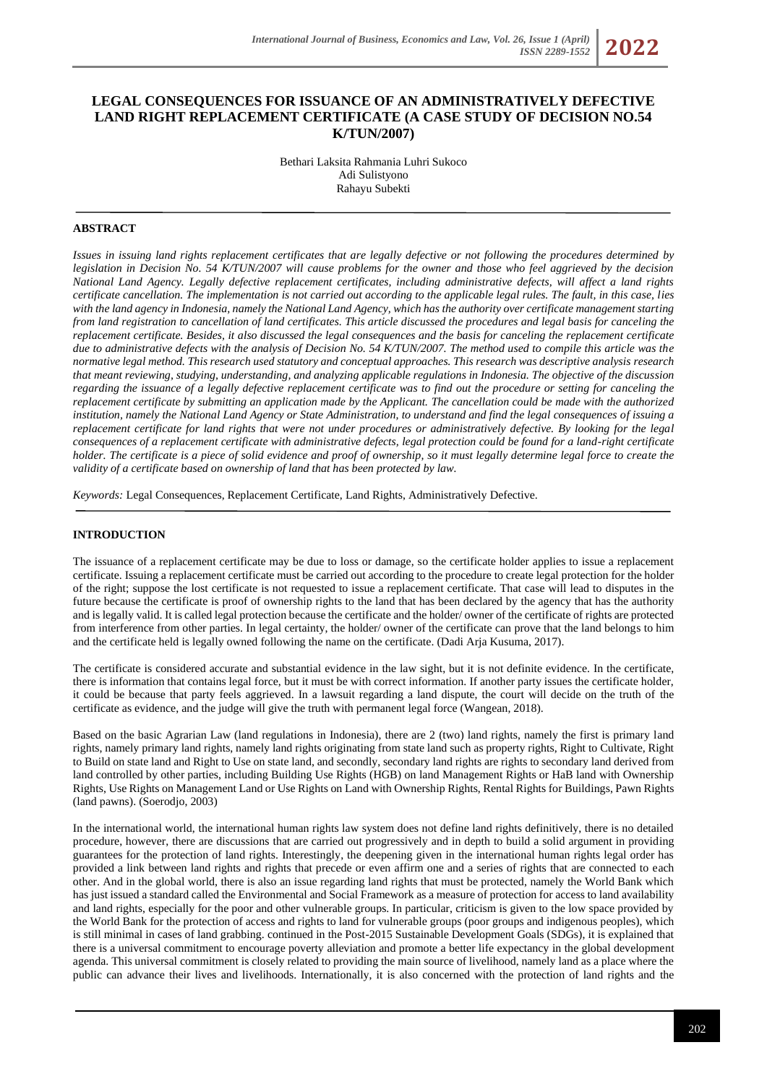# **LEGAL CONSEQUENCES FOR ISSUANCE OF AN ADMINISTRATIVELY DEFECTIVE LAND RIGHT REPLACEMENT CERTIFICATE (A CASE STUDY OF DECISION NO.54 K/TUN/2007)**

Bethari Laksita Rahmania Luhri Sukoco Adi Sulistyono Rahayu Subekti

# **ABSTRACT**

*Issues in issuing land rights replacement certificates that are legally defective or not following the procedures determined by legislation in Decision No. 54 K/TUN/2007 will cause problems for the owner and those who feel aggrieved by the decision National Land Agency. Legally defective replacement certificates, including administrative defects, will affect a land rights certificate cancellation. The implementation is not carried out according to the applicable legal rules. The fault, in this case, lies with the land agency in Indonesia, namely the National Land Agency, which has the authority over certificate management starting from land registration to cancellation of land certificates. This article discussed the procedures and legal basis for canceling the replacement certificate. Besides, it also discussed the legal consequences and the basis for canceling the replacement certificate due to administrative defects with the analysis of Decision No. 54 K/TUN/2007. The method used to compile this article was the normative legal method. This research used statutory and conceptual approaches. This research was descriptive analysis research that meant reviewing, studying, understanding, and analyzing applicable regulations in Indonesia. The objective of the discussion regarding the issuance of a legally defective replacement certificate was to find out the procedure or setting for canceling the replacement certificate by submitting an application made by the Applicant. The cancellation could be made with the authorized institution, namely the National Land Agency or State Administration, to understand and find the legal consequences of issuing a replacement certificate for land rights that were not under procedures or administratively defective. By looking for the legal consequences of a replacement certificate with administrative defects, legal protection could be found for a land-right certificate holder. The certificate is a piece of solid evidence and proof of ownership, so it must legally determine legal force to create the validity of a certificate based on ownership of land that has been protected by law.*

*Keywords:* Legal Consequences, Replacement Certificate, Land Rights, Administratively Defective.

## **INTRODUCTION**

The issuance of a replacement certificate may be due to loss or damage, so the certificate holder applies to issue a replacement certificate. Issuing a replacement certificate must be carried out according to the procedure to create legal protection for the holder of the right; suppose the lost certificate is not requested to issue a replacement certificate. That case will lead to disputes in the future because the certificate is proof of ownership rights to the land that has been declared by the agency that has the authority and is legally valid. It is called legal protection because the certificate and the holder/ owner of the certificate of rights are protected from interference from other parties. In legal certainty, the holder/ owner of the certificate can prove that the land belongs to him and the certificate held is legally owned following the name on the certificate. (Dadi Arja Kusuma, 2017).

The certificate is considered accurate and substantial evidence in the law sight, but it is not definite evidence. In the certificate, there is information that contains legal force, but it must be with correct information. If another party issues the certificate holder, it could be because that party feels aggrieved. In a lawsuit regarding a land dispute, the court will decide on the truth of the certificate as evidence, and the judge will give the truth with permanent legal force (Wangean, 2018).

Based on the basic Agrarian Law (land regulations in Indonesia), there are 2 (two) land rights, namely the first is primary land rights, namely primary land rights, namely land rights originating from state land such as property rights, Right to Cultivate, Right to Build on state land and Right to Use on state land, and secondly, secondary land rights are rights to secondary land derived from land controlled by other parties, including Building Use Rights (HGB) on land Management Rights or HaB land with Ownership Rights, Use Rights on Management Land or Use Rights on Land with Ownership Rights, Rental Rights for Buildings, Pawn Rights (land pawns). (Soerodjo, 2003)

In the international world, the international human rights law system does not define land rights definitively, there is no detailed procedure, however, there are discussions that are carried out progressively and in depth to build a solid argument in providing guarantees for the protection of land rights. Interestingly, the deepening given in the international human rights legal order has provided a link between land rights and rights that precede or even affirm one and a series of rights that are connected to each other. And in the global world, there is also an issue regarding land rights that must be protected, namely the World Bank which has just issued a standard called the Environmental and Social Framework as a measure of protection for access to land availability and land rights, especially for the poor and other vulnerable groups. In particular, criticism is given to the low space provided by the World Bank for the protection of access and rights to land for vulnerable groups (poor groups and indigenous peoples), which is still minimal in cases of land grabbing. continued in the Post-2015 Sustainable Development Goals (SDGs), it is explained that there is a universal commitment to encourage poverty alleviation and promote a better life expectancy in the global development agenda. This universal commitment is closely related to providing the main source of livelihood, namely land as a place where the public can advance their lives and livelihoods. Internationally, it is also concerned with the protection of land rights and the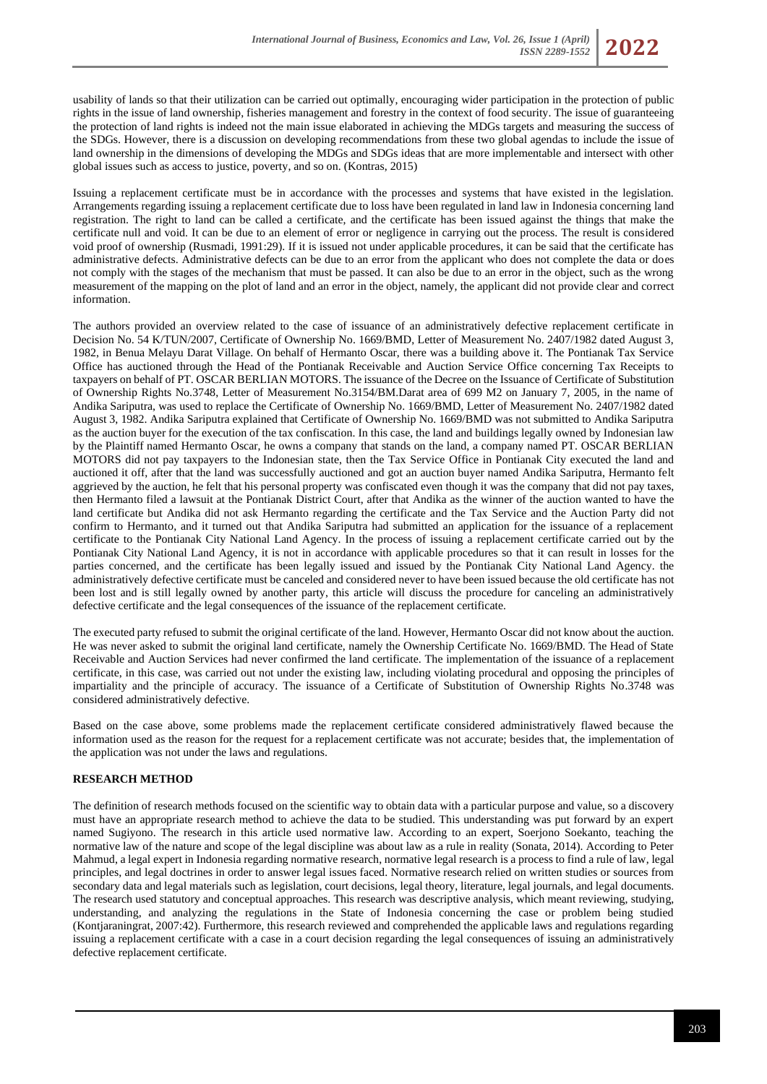

usability of lands so that their utilization can be carried out optimally, encouraging wider participation in the protection of public rights in the issue of land ownership, fisheries management and forestry in the context of food security. The issue of guaranteeing the protection of land rights is indeed not the main issue elaborated in achieving the MDGs targets and measuring the success of the SDGs. However, there is a discussion on developing recommendations from these two global agendas to include the issue of land ownership in the dimensions of developing the MDGs and SDGs ideas that are more implementable and intersect with other global issues such as access to justice, poverty, and so on. (Kontras, 2015)

Issuing a replacement certificate must be in accordance with the processes and systems that have existed in the legislation. Arrangements regarding issuing a replacement certificate due to loss have been regulated in land law in Indonesia concerning land registration. The right to land can be called a certificate, and the certificate has been issued against the things that make the certificate null and void. It can be due to an element of error or negligence in carrying out the process. The result is considered void proof of ownership (Rusmadi, 1991:29). If it is issued not under applicable procedures, it can be said that the certificate has administrative defects. Administrative defects can be due to an error from the applicant who does not complete the data or does not comply with the stages of the mechanism that must be passed. It can also be due to an error in the object, such as the wrong measurement of the mapping on the plot of land and an error in the object, namely, the applicant did not provide clear and correct information.

The authors provided an overview related to the case of issuance of an administratively defective replacement certificate in Decision No. 54 K/TUN/2007, Certificate of Ownership No. 1669/BMD, Letter of Measurement No. 2407/1982 dated August 3, 1982, in Benua Melayu Darat Village. On behalf of Hermanto Oscar, there was a building above it. The Pontianak Tax Service Office has auctioned through the Head of the Pontianak Receivable and Auction Service Office concerning Tax Receipts to taxpayers on behalf of PT. OSCAR BERLIAN MOTORS. The issuance of the Decree on the Issuance of Certificate of Substitution of Ownership Rights No.3748, Letter of Measurement No.3154/BM.Darat area of 699 M2 on January 7, 2005, in the name of Andika Sariputra, was used to replace the Certificate of Ownership No. 1669/BMD, Letter of Measurement No. 2407/1982 dated August 3, 1982. Andika Sariputra explained that Certificate of Ownership No. 1669/BMD was not submitted to Andika Sariputra as the auction buyer for the execution of the tax confiscation. In this case, the land and buildings legally owned by Indonesian law by the Plaintiff named Hermanto Oscar, he owns a company that stands on the land, a company named PT. OSCAR BERLIAN MOTORS did not pay taxpayers to the Indonesian state, then the Tax Service Office in Pontianak City executed the land and auctioned it off, after that the land was successfully auctioned and got an auction buyer named Andika Sariputra, Hermanto felt aggrieved by the auction, he felt that his personal property was confiscated even though it was the company that did not pay taxes, then Hermanto filed a lawsuit at the Pontianak District Court, after that Andika as the winner of the auction wanted to have the land certificate but Andika did not ask Hermanto regarding the certificate and the Tax Service and the Auction Party did not confirm to Hermanto, and it turned out that Andika Sariputra had submitted an application for the issuance of a replacement certificate to the Pontianak City National Land Agency. In the process of issuing a replacement certificate carried out by the Pontianak City National Land Agency, it is not in accordance with applicable procedures so that it can result in losses for the parties concerned, and the certificate has been legally issued and issued by the Pontianak City National Land Agency. the administratively defective certificate must be canceled and considered never to have been issued because the old certificate has not been lost and is still legally owned by another party, this article will discuss the procedure for canceling an administratively defective certificate and the legal consequences of the issuance of the replacement certificate.

The executed party refused to submit the original certificate of the land. However, Hermanto Oscar did not know about the auction. He was never asked to submit the original land certificate, namely the Ownership Certificate No. 1669/BMD. The Head of State Receivable and Auction Services had never confirmed the land certificate. The implementation of the issuance of a replacement certificate, in this case, was carried out not under the existing law, including violating procedural and opposing the principles of impartiality and the principle of accuracy. The issuance of a Certificate of Substitution of Ownership Rights No.3748 was considered administratively defective.

Based on the case above, some problems made the replacement certificate considered administratively flawed because the information used as the reason for the request for a replacement certificate was not accurate; besides that, the implementation of the application was not under the laws and regulations.

# **RESEARCH METHOD**

The definition of research methods focused on the scientific way to obtain data with a particular purpose and value, so a discovery must have an appropriate research method to achieve the data to be studied. This understanding was put forward by an expert named Sugiyono. The research in this article used normative law. According to an expert, Soerjono Soekanto, teaching the normative law of the nature and scope of the legal discipline was about law as a rule in reality (Sonata, 2014). According to Peter Mahmud, a legal expert in Indonesia regarding normative research, normative legal research is a process to find a rule of law, legal principles, and legal doctrines in order to answer legal issues faced. Normative research relied on written studies or sources from secondary data and legal materials such as legislation, court decisions, legal theory, literature, legal journals, and legal documents. The research used statutory and conceptual approaches. This research was descriptive analysis, which meant reviewing, studying, understanding, and analyzing the regulations in the State of Indonesia concerning the case or problem being studied (Kontjaraningrat, 2007:42). Furthermore, this research reviewed and comprehended the applicable laws and regulations regarding issuing a replacement certificate with a case in a court decision regarding the legal consequences of issuing an administratively defective replacement certificate.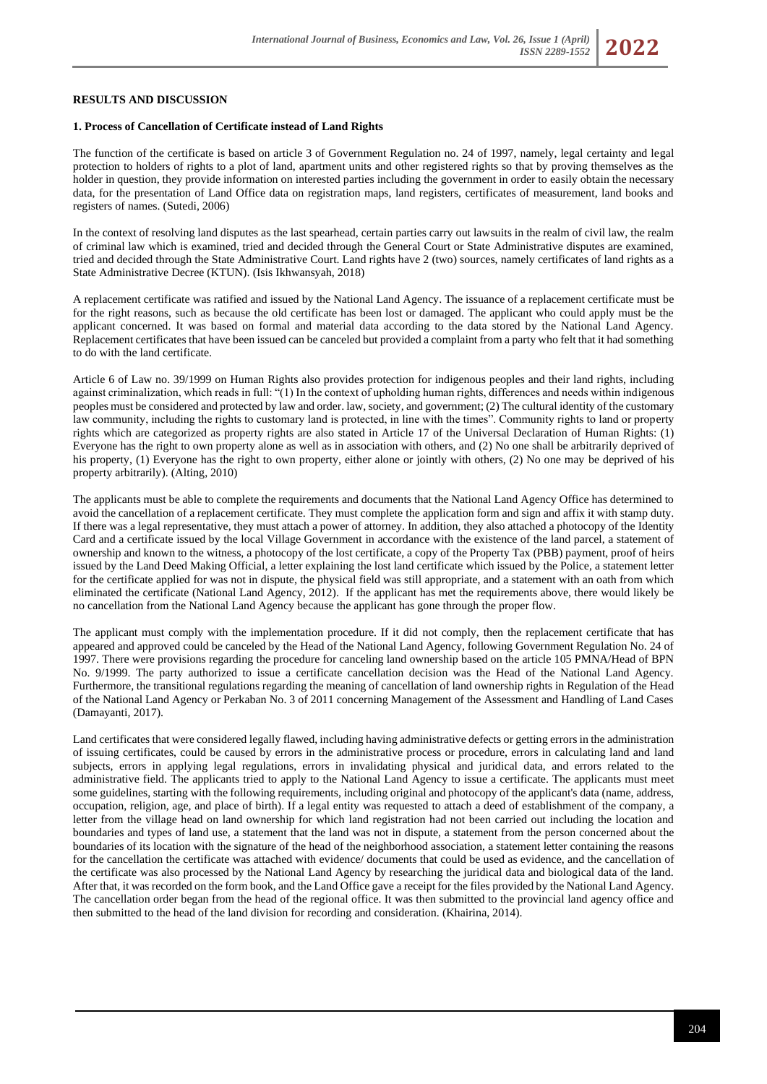### **RESULTS AND DISCUSSION**

#### **1. Process of Cancellation of Certificate instead of Land Rights**

The function of the certificate is based on article 3 of Government Regulation no. 24 of 1997, namely, legal certainty and legal protection to holders of rights to a plot of land, apartment units and other registered rights so that by proving themselves as the holder in question, they provide information on interested parties including the government in order to easily obtain the necessary data, for the presentation of Land Office data on registration maps, land registers, certificates of measurement, land books and registers of names. (Sutedi, 2006)

In the context of resolving land disputes as the last spearhead, certain parties carry out lawsuits in the realm of civil law, the realm of criminal law which is examined, tried and decided through the General Court or State Administrative disputes are examined, tried and decided through the State Administrative Court. Land rights have 2 (two) sources, namely certificates of land rights as a State Administrative Decree (KTUN). (Isis Ikhwansyah, 2018)

A replacement certificate was ratified and issued by the National Land Agency. The issuance of a replacement certificate must be for the right reasons, such as because the old certificate has been lost or damaged. The applicant who could apply must be the applicant concerned. It was based on formal and material data according to the data stored by the National Land Agency. Replacement certificates that have been issued can be canceled but provided a complaint from a party who felt that it had something to do with the land certificate.

Article 6 of Law no. 39/1999 on Human Rights also provides protection for indigenous peoples and their land rights, including against criminalization, which reads in full: "(1) In the context of upholding human rights, differences and needs within indigenous peoples must be considered and protected by law and order. law, society, and government; (2) The cultural identity of the customary law community, including the rights to customary land is protected, in line with the times". Community rights to land or property rights which are categorized as property rights are also stated in Article 17 of the Universal Declaration of Human Rights: (1) Everyone has the right to own property alone as well as in association with others, and (2) No one shall be arbitrarily deprived of his property, (1) Everyone has the right to own property, either alone or jointly with others, (2) No one may be deprived of his property arbitrarily). (Alting, 2010)

The applicants must be able to complete the requirements and documents that the National Land Agency Office has determined to avoid the cancellation of a replacement certificate. They must complete the application form and sign and affix it with stamp duty. If there was a legal representative, they must attach a power of attorney. In addition, they also attached a photocopy of the Identity Card and a certificate issued by the local Village Government in accordance with the existence of the land parcel, a statement of ownership and known to the witness, a photocopy of the lost certificate, a copy of the Property Tax (PBB) payment, proof of heirs issued by the Land Deed Making Official, a letter explaining the lost land certificate which issued by the Police, a statement letter for the certificate applied for was not in dispute, the physical field was still appropriate, and a statement with an oath from which eliminated the certificate (National Land Agency, 2012). If the applicant has met the requirements above, there would likely be no cancellation from the National Land Agency because the applicant has gone through the proper flow.

The applicant must comply with the implementation procedure. If it did not comply, then the replacement certificate that has appeared and approved could be canceled by the Head of the National Land Agency, following Government Regulation No. 24 of 1997. There were provisions regarding the procedure for canceling land ownership based on the article 105 PMNA/Head of BPN No. 9/1999. The party authorized to issue a certificate cancellation decision was the Head of the National Land Agency. Furthermore, the transitional regulations regarding the meaning of cancellation of land ownership rights in Regulation of the Head of the National Land Agency or Perkaban No. 3 of 2011 concerning Management of the Assessment and Handling of Land Cases (Damayanti, 2017).

Land certificates that were considered legally flawed, including having administrative defects or getting errors in the administration of issuing certificates, could be caused by errors in the administrative process or procedure, errors in calculating land and land subjects, errors in applying legal regulations, errors in invalidating physical and juridical data, and errors related to the administrative field. The applicants tried to apply to the National Land Agency to issue a certificate. The applicants must meet some guidelines, starting with the following requirements, including original and photocopy of the applicant's data (name, address, occupation, religion, age, and place of birth). If a legal entity was requested to attach a deed of establishment of the company, a letter from the village head on land ownership for which land registration had not been carried out including the location and boundaries and types of land use, a statement that the land was not in dispute, a statement from the person concerned about the boundaries of its location with the signature of the head of the neighborhood association, a statement letter containing the reasons for the cancellation the certificate was attached with evidence/ documents that could be used as evidence, and the cancellation of the certificate was also processed by the National Land Agency by researching the juridical data and biological data of the land. After that, it was recorded on the form book, and the Land Office gave a receipt for the files provided by the National Land Agency. The cancellation order began from the head of the regional office. It was then submitted to the provincial land agency office and then submitted to the head of the land division for recording and consideration. (Khairina, 2014).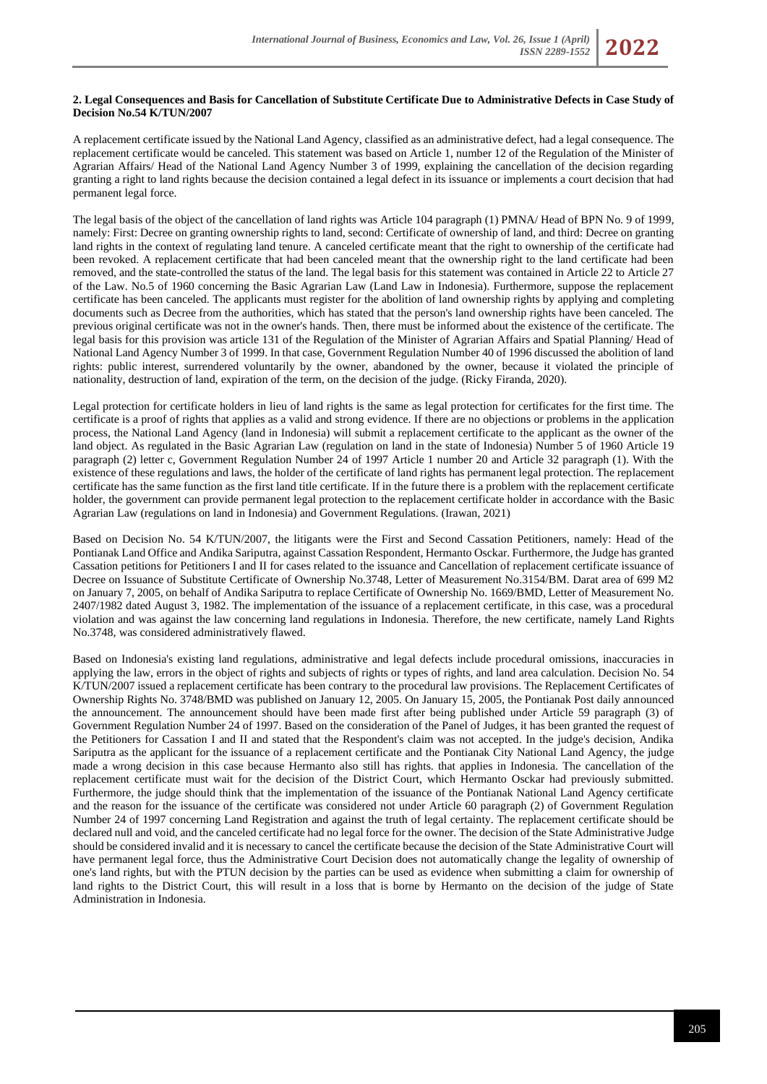

A replacement certificate issued by the National Land Agency, classified as an administrative defect, had a legal consequence. The replacement certificate would be canceled. This statement was based on Article 1, number 12 of the Regulation of the Minister of Agrarian Affairs/ Head of the National Land Agency Number 3 of 1999, explaining the cancellation of the decision regarding granting a right to land rights because the decision contained a legal defect in its issuance or implements a court decision that had permanent legal force.

The legal basis of the object of the cancellation of land rights was Article 104 paragraph (1) PMNA/ Head of BPN No. 9 of 1999, namely: First: Decree on granting ownership rights to land, second: Certificate of ownership of land, and third: Decree on granting land rights in the context of regulating land tenure. A canceled certificate meant that the right to ownership of the certificate had been revoked. A replacement certificate that had been canceled meant that the ownership right to the land certificate had been removed, and the state-controlled the status of the land. The legal basis for this statement was contained in Article 22 to Article 27 of the Law. No.5 of 1960 concerning the Basic Agrarian Law (Land Law in Indonesia). Furthermore, suppose the replacement certificate has been canceled. The applicants must register for the abolition of land ownership rights by applying and completing documents such as Decree from the authorities, which has stated that the person's land ownership rights have been canceled. The previous original certificate was not in the owner's hands. Then, there must be informed about the existence of the certificate. The legal basis for this provision was article 131 of the Regulation of the Minister of Agrarian Affairs and Spatial Planning/ Head of National Land Agency Number 3 of 1999. In that case, Government Regulation Number 40 of 1996 discussed the abolition of land rights: public interest, surrendered voluntarily by the owner, abandoned by the owner, because it violated the principle of nationality, destruction of land, expiration of the term, on the decision of the judge. (Ricky Firanda, 2020).

Legal protection for certificate holders in lieu of land rights is the same as legal protection for certificates for the first time. The certificate is a proof of rights that applies as a valid and strong evidence. If there are no objections or problems in the application process, the National Land Agency (land in Indonesia) will submit a replacement certificate to the applicant as the owner of the land object. As regulated in the Basic Agrarian Law (regulation on land in the state of Indonesia) Number 5 of 1960 Article 19 paragraph (2) letter c, Government Regulation Number 24 of 1997 Article 1 number 20 and Article 32 paragraph (1). With the existence of these regulations and laws, the holder of the certificate of land rights has permanent legal protection. The replacement certificate has the same function as the first land title certificate. If in the future there is a problem with the replacement certificate holder, the government can provide permanent legal protection to the replacement certificate holder in accordance with the Basic Agrarian Law (regulations on land in Indonesia) and Government Regulations. (Irawan, 2021)

Based on Decision No. 54 K/TUN/2007, the litigants were the First and Second Cassation Petitioners, namely: Head of the Pontianak Land Office and Andika Sariputra, against Cassation Respondent, Hermanto Osckar. Furthermore, the Judge has granted Cassation petitions for Petitioners I and II for cases related to the issuance and Cancellation of replacement certificate issuance of Decree on Issuance of Substitute Certificate of Ownership No.3748, Letter of Measurement No.3154/BM. Darat area of 699 M2 on January 7, 2005, on behalf of Andika Sariputra to replace Certificate of Ownership No. 1669/BMD, Letter of Measurement No. 2407/1982 dated August 3, 1982. The implementation of the issuance of a replacement certificate, in this case, was a procedural violation and was against the law concerning land regulations in Indonesia. Therefore, the new certificate, namely Land Rights No.3748, was considered administratively flawed.

Based on Indonesia's existing land regulations, administrative and legal defects include procedural omissions, inaccuracies in applying the law, errors in the object of rights and subjects of rights or types of rights, and land area calculation. Decision No. 54 K/TUN/2007 issued a replacement certificate has been contrary to the procedural law provisions. The Replacement Certificates of Ownership Rights No. 3748/BMD was published on January 12, 2005. On January 15, 2005, the Pontianak Post daily announced the announcement. The announcement should have been made first after being published under Article 59 paragraph (3) of Government Regulation Number 24 of 1997. Based on the consideration of the Panel of Judges, it has been granted the request of the Petitioners for Cassation I and II and stated that the Respondent's claim was not accepted. In the judge's decision, Andika Sariputra as the applicant for the issuance of a replacement certificate and the Pontianak City National Land Agency, the judge made a wrong decision in this case because Hermanto also still has rights. that applies in Indonesia. The cancellation of the replacement certificate must wait for the decision of the District Court, which Hermanto Osckar had previously submitted. Furthermore, the judge should think that the implementation of the issuance of the Pontianak National Land Agency certificate and the reason for the issuance of the certificate was considered not under Article 60 paragraph (2) of Government Regulation Number 24 of 1997 concerning Land Registration and against the truth of legal certainty. The replacement certificate should be declared null and void, and the canceled certificate had no legal force for the owner. The decision of the State Administrative Judge should be considered invalid and it is necessary to cancel the certificate because the decision of the State Administrative Court will have permanent legal force, thus the Administrative Court Decision does not automatically change the legality of ownership of one's land rights, but with the PTUN decision by the parties can be used as evidence when submitting a claim for ownership of land rights to the District Court, this will result in a loss that is borne by Hermanto on the decision of the judge of State Administration in Indonesia.